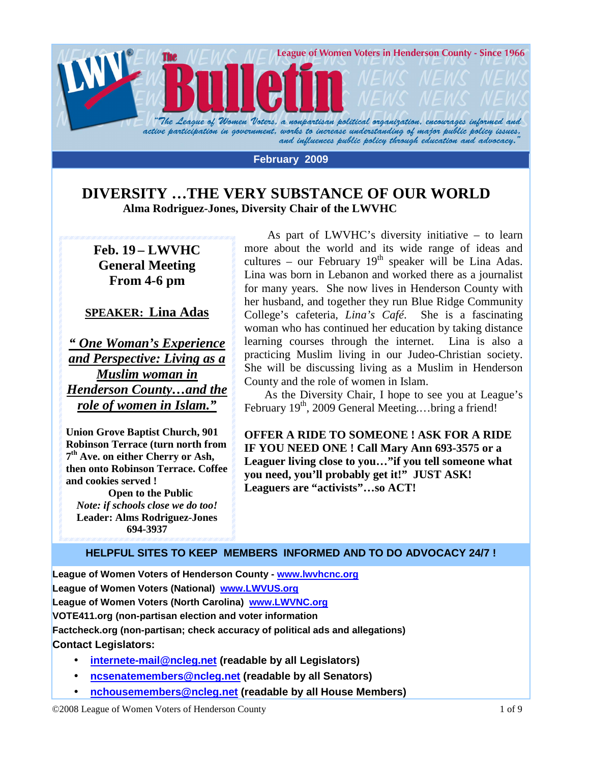

#### **February 2009**

### **DIVERSITY …THE VERY SUBSTANCE OF OUR WORLD Alma Rodriguez-Jones, Diversity Chair of the LWVHC**

**Feb. 19 – LWVHC General Meeting From 4-6 pm** 

#### **SPEAKER: Lina Adas**

*" One Woman's Experience and Perspective: Living as a Muslim woman in Henderson County…and the role of women in Islam."*

**Union Grove Baptist Church, 901 Robinson Terrace (turn north from 7 th Ave. on either Cherry or Ash, then onto Robinson Terrace. Coffee and cookies served !** 

 **Open to the Public**  *Note: if schools close we do too!*  **Leader: Alms Rodriguez-Jones 694-3937** 

As part of LWVHC's diversity initiative – to learn more about the world and its wide range of ideas and cultures – our February  $19<sup>th</sup>$  speaker will be Lina Adas. Lina was born in Lebanon and worked there as a journalist for many years. She now lives in Henderson County with her husband, and together they run Blue Ridge Community College's cafeteria, *Lina's Café*. She is a fascinating woman who has continued her education by taking distance learning courses through the internet. Lina is also a practicing Muslim living in our Judeo-Christian society. She will be discussing living as a Muslim in Henderson County and the role of women in Islam.

 As the Diversity Chair, I hope to see you at League's February 19<sup>th</sup>, 2009 General Meeting....bring a friend!

**OFFER A RIDE TO SOMEONE ! ASK FOR A RIDE IF YOU NEED ONE ! Call Mary Ann 693-3575 or a Leaguer living close to you…"if you tell someone what you need, you'll probably get it!" JUST ASK! Leaguers are "activists"…so ACT!** 

#### **HELPFUL SITES TO KEEP MEMBERS INFORMED AND TO DO ADVOCACY 24/7 !**

**League of Women Voters of Henderson County - www.lwvhcnc.org League of Women Voters (National) www.LWVUS.org League of Women Voters (North Carolina) www.LWVNC.org VOTE411.org (non-partisan election and voter information Factcheck.org (non-partisan; check accuracy of political ads and allegations) Contact Legislators:** 

- **internete-mail@ncleg.net (readable by all Legislators)**
- **ncsenatemembers@ncleg.net (readable by all Senators)**
- **nchousemembers@ncleg.net (readable by all House Members)**

©2008 League of Women Voters of Henderson County 1 of 9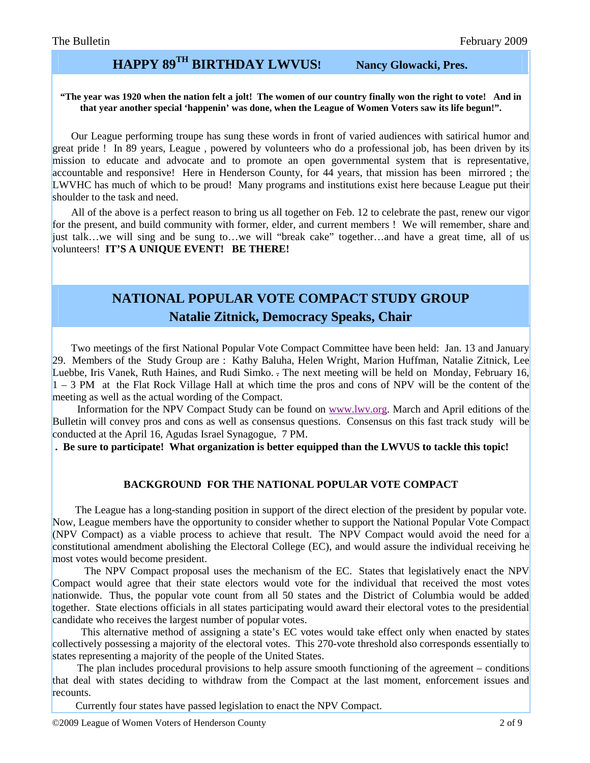### **HAPPY 89TH BIRTHDAY LWVUS! Nancy Glowacki, Pres.**

#### **"The year was 1920 when the nation felt a jolt! The women of our country finally won the right to vote! And in that year another special 'happenin' was done, when the League of Women Voters saw its life begun!".**

Our League performing troupe has sung these words in front of varied audiences with satirical humor and great pride ! In 89 years, League , powered by volunteers who do a professional job, has been driven by its mission to educate and advocate and to promote an open governmental system that is representative, accountable and responsive! Here in Henderson County, for 44 years, that mission has been mirrored ; the LWVHC has much of which to be proud! Many programs and institutions exist here because League put their shoulder to the task and need.

 All of the above is a perfect reason to bring us all together on Feb. 12 to celebrate the past, renew our vigor for the present, and build community with former, elder, and current members ! We will remember, share and just talk…we will sing and be sung to…we will "break cake" together…and have a great time, all of us volunteers! **IT'S A UNIQUE EVENT! BE THERE!** 

# **NATIONAL POPULAR VOTE COMPACT STUDY GROUP Natalie Zitnick, Democracy Speaks, Chair**

 Two meetings of the first National Popular Vote Compact Committee have been held: Jan. 13 and January 29. Members of the Study Group are : Kathy Baluha, Helen Wright, Marion Huffman, Natalie Zitnick, Lee Luebbe, Iris Vanek, Ruth Haines, and Rudi Simko. - The next meeting will be held on Monday, February 16,  $1 - 3$  PM at the Flat Rock Village Hall at which time the pros and cons of NPV will be the content of the meeting as well as the actual wording of the Compact.

 Information for the NPV Compact Study can be found on www.lwv.org. March and April editions of the Bulletin will convey pros and cons as well as consensus questions. Consensus on this fast track study will be conducted at the April 16, Agudas Israel Synagogue, 7 PM.

 **. Be sure to participate! What organization is better equipped than the LWVUS to tackle this topic!**

#### **BACKGROUND FOR THE NATIONAL POPULAR VOTE COMPACT**

 The League has a long-standing position in support of the direct election of the president by popular vote. Now, League members have the opportunity to consider whether to support the National Popular Vote Compact (NPV Compact) as a viable process to achieve that result. The NPV Compact would avoid the need for a constitutional amendment abolishing the Electoral College (EC), and would assure the individual receiving he most votes would become president.

 The NPV Compact proposal uses the mechanism of the EC. States that legislatively enact the NPV Compact would agree that their state electors would vote for the individual that received the most votes nationwide. Thus, the popular vote count from all 50 states and the District of Columbia would be added together. State elections officials in all states participating would award their electoral votes to the presidential candidate who receives the largest number of popular votes.

 This alternative method of assigning a state's EC votes would take effect only when enacted by states collectively possessing a majority of the electoral votes. This 270-vote threshold also corresponds essentially to states representing a majority of the people of the United States.

 The plan includes procedural provisions to help assure smooth functioning of the agreement – conditions that deal with states deciding to withdraw from the Compact at the last moment, enforcement issues and recounts.

Currently four states have passed legislation to enact the NPV Compact.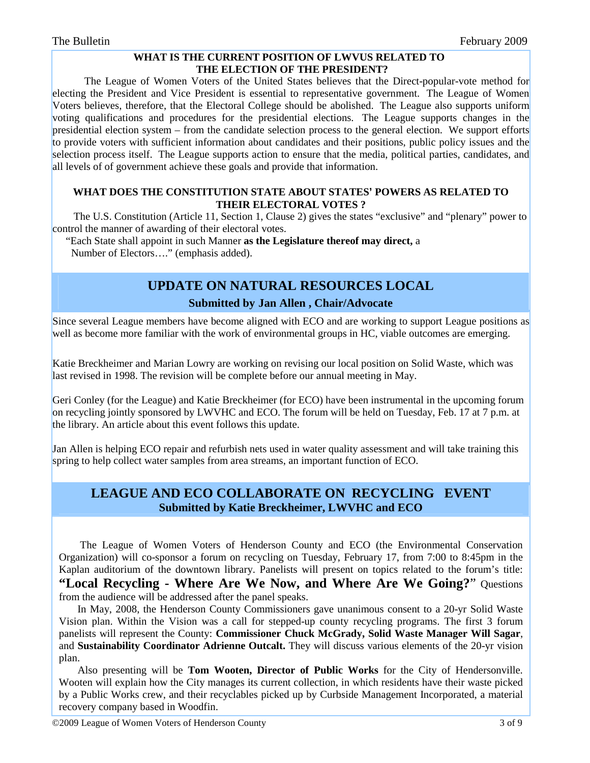#### **WHAT IS THE CURRENT POSITION OF LWVUS RELATED TO THE ELECTION OF THE PRESIDENT?**

 The League of Women Voters of the United States believes that the Direct-popular-vote method for electing the President and Vice President is essential to representative government. The League of Women Voters believes, therefore, that the Electoral College should be abolished. The League also supports uniform voting qualifications and procedures for the presidential elections. The League supports changes in the presidential election system – from the candidate selection process to the general election. We support efforts to provide voters with sufficient information about candidates and their positions, public policy issues and the selection process itself. The League supports action to ensure that the media, political parties, candidates, and all levels of of government achieve these goals and provide that information.

#### **WHAT DOES THE CONSTITUTION STATE ABOUT STATES' POWERS AS RELATED TO THEIR ELECTORAL VOTES ?**

 The U.S. Constitution (Article 11, Section 1, Clause 2) gives the states "exclusive" and "plenary" power to control the manner of awarding of their electoral votes.

 "Each State shall appoint in such Manner **as the Legislature thereof may direct,** a Number of Electors…." (emphasis added).

# **UPDATE ON NATURAL RESOURCES LOCAL**

#### **Submitted by Jan Allen , Chair/Advocate**

Since several League members have become aligned with ECO and are working to support League positions as well as become more familiar with the work of environmental groups in HC, viable outcomes are emerging.

Katie Breckheimer and Marian Lowry are working on revising our local position on Solid Waste, which was last revised in 1998. The revision will be complete before our annual meeting in May.

Geri Conley (for the League) and Katie Breckheimer (for ECO) have been instrumental in the upcoming forum on recycling jointly sponsored by LWVHC and ECO. The forum will be held on Tuesday, Feb. 17 at 7 p.m. at the library. An article about this event follows this update.

Jan Allen is helping ECO repair and refurbish nets used in water quality assessment and will take training this spring to help collect water samples from area streams, an important function of ECO.

### **LEAGUE AND ECO COLLABORATE ON RECYCLING EVENT Submitted by Katie Breckheimer, LWVHC and ECO**

 The League of Women Voters of Henderson County and ECO (the Environmental Conservation Organization) will co-sponsor a forum on recycling on Tuesday, February 17, from 7:00 to 8:45pm in the Kaplan auditorium of the downtown library. Panelists will present on topics related to the forum's title: **"Local Recycling - Where Are We Now, and Where Are We Going?**" Questions from the audience will be addressed after the panel speaks.

 In May, 2008, the Henderson County Commissioners gave unanimous consent to a 20-yr Solid Waste Vision plan. Within the Vision was a call for stepped-up county recycling programs. The first 3 forum panelists will represent the County: **Commissioner Chuck McGrady, Solid Waste Manager Will Sagar**, and **Sustainability Coordinator Adrienne Outcalt.** They will discuss various elements of the 20-yr vision plan.

 Also presenting will be **Tom Wooten, Director of Public Works** for the City of Hendersonville. Wooten will explain how the City manages its current collection, in which residents have their waste picked by a Public Works crew, and their recyclables picked up by Curbside Management Incorporated, a material recovery company based in Woodfin.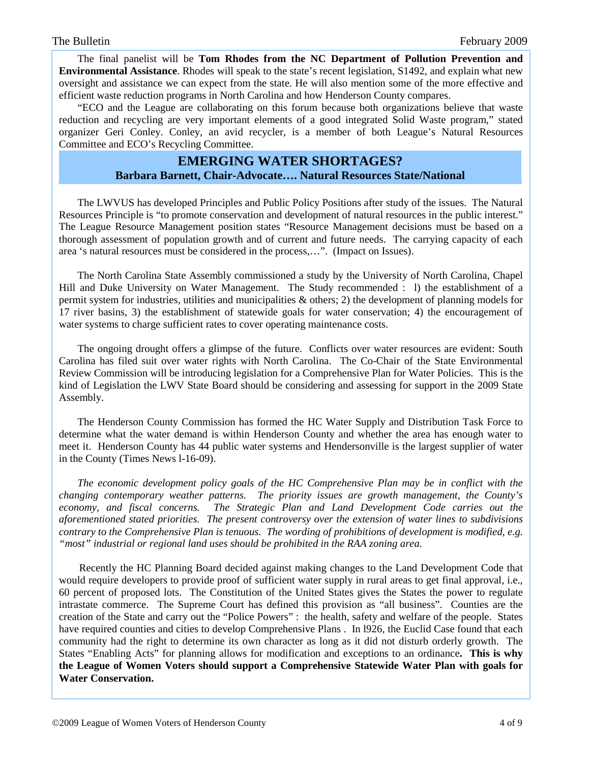The final panelist will be **Tom Rhodes from the NC Department of Pollution Prevention and Environmental Assistance**. Rhodes will speak to the state's recent legislation, S1492, and explain what new oversight and assistance we can expect from the state. He will also mention some of the more effective and efficient waste reduction programs in North Carolina and how Henderson County compares.

 "ECO and the League are collaborating on this forum because both organizations believe that waste reduction and recycling are very important elements of a good integrated Solid Waste program," stated organizer Geri Conley. Conley, an avid recycler, is a member of both League's Natural Resources Committee and ECO's Recycling Committee.

### **EMERGING WATER SHORTAGES? Barbara Barnett, Chair-Advocate…. Natural Resources State/National**

 The LWVUS has developed Principles and Public Policy Positions after study of the issues. The Natural Resources Principle is "to promote conservation and development of natural resources in the public interest." The League Resource Management position states "Resource Management decisions must be based on a thorough assessment of population growth and of current and future needs. The carrying capacity of each area 's natural resources must be considered in the process,…". (Impact on Issues).

 The North Carolina State Assembly commissioned a study by the University of North Carolina, Chapel Hill and Duke University on Water Management. The Study recommended : l) the establishment of a permit system for industries, utilities and municipalities & others; 2) the development of planning models for 17 river basins, 3) the establishment of statewide goals for water conservation; 4) the encouragement of water systems to charge sufficient rates to cover operating maintenance costs.

 The ongoing drought offers a glimpse of the future. Conflicts over water resources are evident: South Carolina has filed suit over water rights with North Carolina. The Co-Chair of the State Environmental Review Commission will be introducing legislation for a Comprehensive Plan for Water Policies. This is the kind of Legislation the LWV State Board should be considering and assessing for support in the 2009 State Assembly.

 The Henderson County Commission has formed the HC Water Supply and Distribution Task Force to determine what the water demand is within Henderson County and whether the area has enough water to meet it. Henderson County has 44 public water systems and Hendersonville is the largest supplier of water in the County (Times News l-16-09).

 *The economic development policy goals of the HC Comprehensive Plan may be in conflict with the changing contemporary weather patterns. The priority issues are growth management, the County's economy, and fiscal concerns. The Strategic Plan and Land Development Code carries out the aforementioned stated priorities. The present controversy over the extension of water lines to subdivisions contrary to the Comprehensive Plan is tenuous. The wording of prohibitions of development is modified, e.g. "most" industrial or regional land uses should be prohibited in the RAA zoning area.* 

 Recently the HC Planning Board decided against making changes to the Land Development Code that would require developers to provide proof of sufficient water supply in rural areas to get final approval, i.e., 60 percent of proposed lots. The Constitution of the United States gives the States the power to regulate intrastate commerce. The Supreme Court has defined this provision as "all business". Counties are the creation of the State and carry out the "Police Powers" : the health, safety and welfare of the people. States have required counties and cities to develop Comprehensive Plans . In 1926, the Euclid Case found that each community had the right to determine its own character as long as it did not disturb orderly growth. The States "Enabling Acts" for planning allows for modification and exceptions to an ordinance**. This is why the League of Women Voters should support a Comprehensive Statewide Water Plan with goals for Water Conservation.**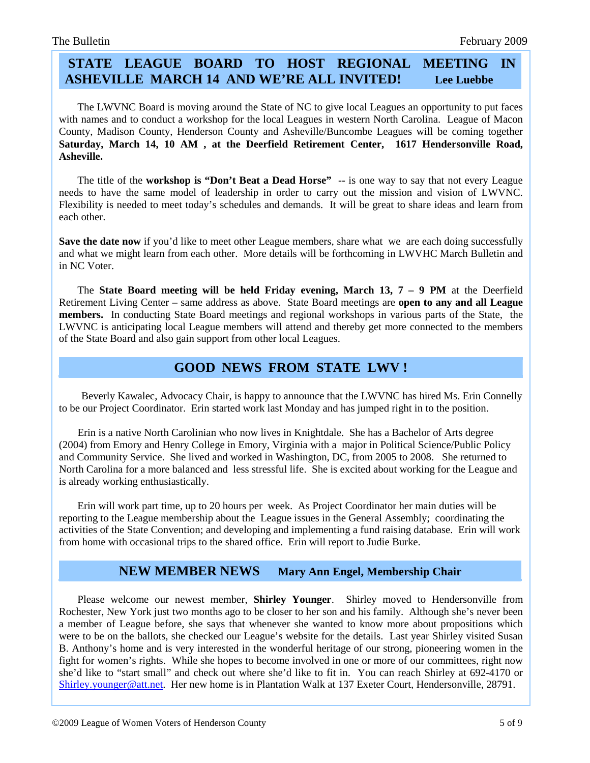### **STATE LEAGUE BOARD TO HOST REGIONAL MEETING IN ASHEVILLE MARCH 14 AND WE'RE ALL INVITED! Lee Luebbe**

 The LWVNC Board is moving around the State of NC to give local Leagues an opportunity to put faces with names and to conduct a workshop for the local Leagues in western North Carolina. League of Macon County, Madison County, Henderson County and Asheville/Buncombe Leagues will be coming together **Saturday, March 14, 10 AM , at the Deerfield Retirement Center, 1617 Hendersonville Road, Asheville.** 

 The title of the **workshop is "Don't Beat a Dead Horse"** -- is one way to say that not every League needs to have the same model of leadership in order to carry out the mission and vision of LWVNC. Flexibility is needed to meet today's schedules and demands. It will be great to share ideas and learn from each other.

**Save the date now** if you'd like to meet other League members, share what we are each doing successfully and what we might learn from each other. More details will be forthcoming in LWVHC March Bulletin and in NC Voter.

 The **State Board meeting will be held Friday evening, March 13, 7 – 9 PM** at the Deerfield Retirement Living Center – same address as above. State Board meetings are **open to any and all League members.** In conducting State Board meetings and regional workshops in various parts of the State, the LWVNC is anticipating local League members will attend and thereby get more connected to the members of the State Board and also gain support from other local Leagues.

### **GOOD NEWS FROM STATE LWV !**

 Beverly Kawalec, Advocacy Chair, is happy to announce that the LWVNC has hired Ms. Erin Connelly to be our Project Coordinator. Erin started work last Monday and has jumped right in to the position.

 Erin is a native North Carolinian who now lives in Knightdale. She has a Bachelor of Arts degree (2004) from Emory and Henry College in Emory, Virginia with a major in Political Science/Public Policy and Community Service. She lived and worked in Washington, DC, from 2005 to 2008. She returned to North Carolina for a more balanced and less stressful life. She is excited about working for the League and is already working enthusiastically.

 Erin will work part time, up to 20 hours per week. As Project Coordinator her main duties will be reporting to the League membership about the League issues in the General Assembly; coordinating the activities of the State Convention; and developing and implementing a fund raising database. Erin will work from home with occasional trips to the shared office. Erin will report to Judie Burke.

### **NEW MEMBER NEWS Mary Ann Engel, Membership Chair**

 Please welcome our newest member, **Shirley Younger**. Shirley moved to Hendersonville from Rochester, New York just two months ago to be closer to her son and his family. Although she's never been a member of League before, she says that whenever she wanted to know more about propositions which were to be on the ballots, she checked our League's website for the details. Last year Shirley visited Susan B. Anthony's home and is very interested in the wonderful heritage of our strong, pioneering women in the fight for women's rights. While she hopes to become involved in one or more of our committees, right now she'd like to "start small" and check out where she'd like to fit in. You can reach Shirley at 692-4170 or Shirley.younger@att.net. Her new home is in Plantation Walk at 137 Exeter Court, Hendersonville, 28791.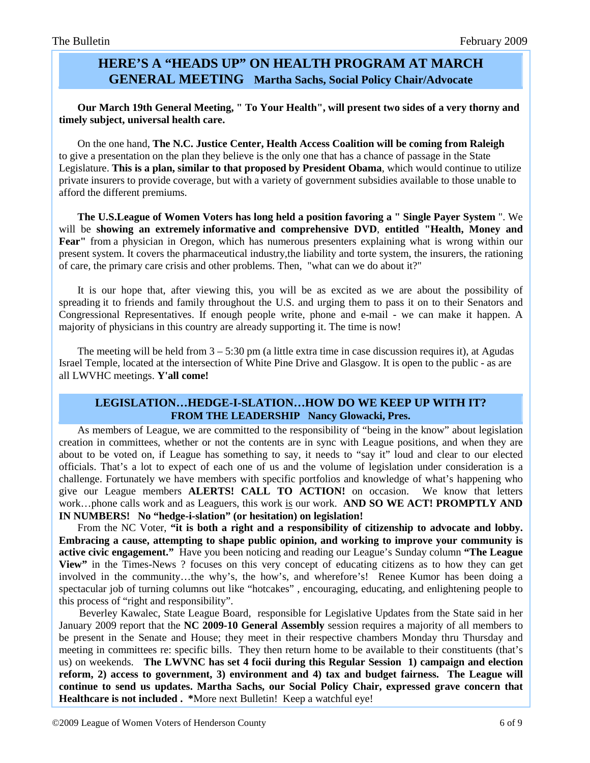### **HERE'S A "HEADS UP" ON HEALTH PROGRAM AT MARCH GENERAL MEETING Martha Sachs, Social Policy Chair/Advocate**

 **Our March 19th General Meeting, " To Your Health", will present two sides of a very thorny and timely subject, universal health care.**

 On the one hand, **The N.C. Justice Center, Health Access Coalition will be coming from Raleigh** to give a presentation on the plan they believe is the only one that has a chance of passage in the State Legislature. **This is a plan, similar to that proposed by President Obama**, which would continue to utilize private insurers to provide coverage, but with a variety of government subsidies available to those unable to afford the different premiums.

 **The U.S.League of Women Voters has long held a position favoring a " Single Payer System** ". We will be **showing an extremely informative and comprehensive DVD**, **entitled "Health, Money and Fear"** from a physician in Oregon, which has numerous presenters explaining what is wrong within our present system. It covers the pharmaceutical industry,the liability and torte system, the insurers, the rationing of care, the primary care crisis and other problems. Then, "what can we do about it?"

 It is our hope that, after viewing this, you will be as excited as we are about the possibility of spreading it to friends and family throughout the U.S. and urging them to pass it on to their Senators and Congressional Representatives. If enough people write, phone and e-mail - we can make it happen. A majority of physicians in this country are already supporting it. The time is now!

The meeting will be held from  $3 - 5:30$  pm (a little extra time in case discussion requires it), at Agudas Israel Temple, located at the intersection of White Pine Drive and Glasgow. It is open to the public - as are all LWVHC meetings. **Y'all come!** 

#### **LEGISLATION…HEDGE-I-SLATION…HOW DO WE KEEP UP WITH IT? FROM THE LEADERSHIP Nancy Glowacki, Pres.**

 As members of League, we are committed to the responsibility of "being in the know" about legislation creation in committees, whether or not the contents are in sync with League positions, and when they are about to be voted on, if League has something to say, it needs to "say it" loud and clear to our elected officials. That's a lot to expect of each one of us and the volume of legislation under consideration is a challenge. Fortunately we have members with specific portfolios and knowledge of what's happening who give our League members **ALERTS! CALL TO ACTION!** on occasion. We know that letters work…phone calls work and as Leaguers, this work is our work. **AND SO WE ACT! PROMPTLY AND IN NUMBERS! No "hedge-i-slation" (or hesitation) on legislation!** 

 From the NC Voter, **"it is both a right and a responsibility of citizenship to advocate and lobby. Embracing a cause, attempting to shape public opinion, and working to improve your community is active civic engagement."** Have you been noticing and reading our League's Sunday column **"The League View"** in the Times-News ? focuses on this very concept of educating citizens as to how they can get involved in the community…the why's, the how's, and wherefore's! Renee Kumor has been doing a spectacular job of turning columns out like "hotcakes" , encouraging, educating, and enlightening people to this process of "right and responsibility".

 Beverley Kawalec, State League Board, responsible for Legislative Updates from the State said in her January 2009 report that the **NC 2009-10 General Assembly** session requires a majority of all members to be present in the Senate and House; they meet in their respective chambers Monday thru Thursday and meeting in committees re: specific bills. They then return home to be available to their constituents (that's us) on weekends. **The LWVNC has set 4 focii during this Regular Session 1) campaign and election reform, 2) access to government, 3) environment and 4) tax and budget fairness. The League will continue to send us updates. Martha Sachs, our Social Policy Chair, expressed grave concern that Healthcare is not included . \***More next Bulletin! Keep a watchful eye!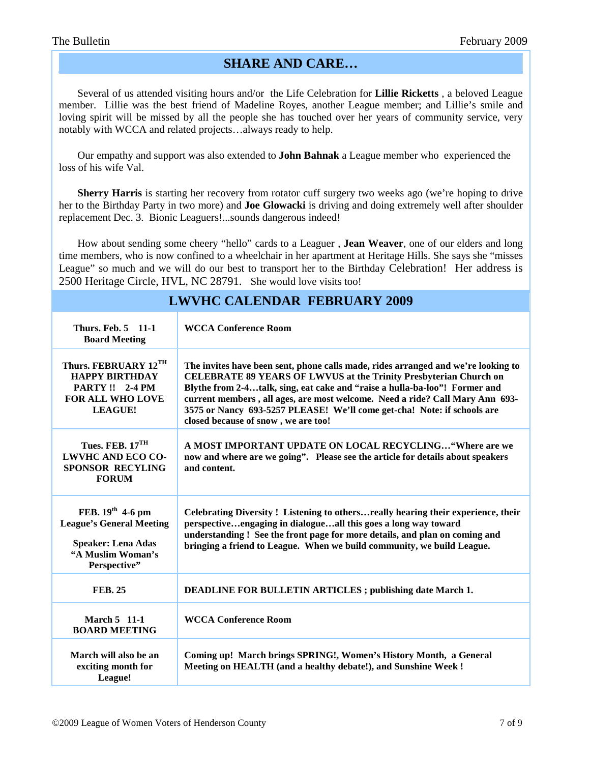### **SHARE AND CARE…**

 Several of us attended visiting hours and/or the Life Celebration for **Lillie Ricketts** , a beloved League member. Lillie was the best friend of Madeline Royes, another League member; and Lillie's smile and loving spirit will be missed by all the people she has touched over her years of community service, very notably with WCCA and related projects…always ready to help.

 Our empathy and support was also extended to **John Bahnak** a League member who experienced the loss of his wife Val.

 **Sherry Harris** is starting her recovery from rotator cuff surgery two weeks ago (we're hoping to drive her to the Birthday Party in two more) and **Joe Glowacki** is driving and doing extremely well after shoulder replacement Dec. 3. Bionic Leaguers!...sounds dangerous indeed!

 How about sending some cheery "hello" cards to a Leaguer , **Jean Weaver**, one of our elders and long time members, who is now confined to a wheelchair in her apartment at Heritage Hills. She says she "misses League" so much and we will do our best to transport her to the Birthday Celebration! Her address is 2500 Heritage Circle, HVL, NC 28791.She would love visits too!

| LWVHC CALENDAN FEBNUANT 2009                                                                                               |                                                                                                                                                                                                                                                                                                                                                                                                                                               |
|----------------------------------------------------------------------------------------------------------------------------|-----------------------------------------------------------------------------------------------------------------------------------------------------------------------------------------------------------------------------------------------------------------------------------------------------------------------------------------------------------------------------------------------------------------------------------------------|
| <b>Thurs. Feb. 5 11-1</b><br><b>Board Meeting</b>                                                                          | <b>WCCA Conference Room</b>                                                                                                                                                                                                                                                                                                                                                                                                                   |
| Thurs. FEBRUARY 12TH<br><b>HAPPY BIRTHDAY</b><br><b>PARTY!! 2-4 PM</b><br><b>FOR ALL WHO LOVE</b><br><b>LEAGUE!</b>        | The invites have been sent, phone calls made, rides arranged and we're looking to<br><b>CELEBRATE 89 YEARS OF LWVUS at the Trinity Presbyterian Church on</b><br>Blythe from 2-4talk, sing, eat cake and "raise a hulla-ba-loo"! Former and<br>current members, all ages, are most welcome. Need a ride? Call Mary Ann 693-<br>3575 or Nancy 693-5257 PLEASE! We'll come get-cha! Note: if schools are<br>closed because of snow, we are too! |
| Tues. FEB. $17TH$<br><b>LWVHC AND ECO CO-</b><br><b>SPONSOR RECYLING</b><br><b>FORUM</b>                                   | A MOST IMPORTANT UPDATE ON LOCAL RECYCLING "Where are we<br>now and where are we going". Please see the article for details about speakers<br>and content.                                                                                                                                                                                                                                                                                    |
| FEB. $19^{th}$ 4-6 pm<br><b>League's General Meeting</b><br><b>Speaker: Lena Adas</b><br>"A Muslim Woman's<br>Perspective" | Celebrating Diversity! Listening to othersreally hearing their experience, their<br>perspectiveengaging in dialogueall this goes a long way toward<br>understanding! See the front page for more details, and plan on coming and<br>bringing a friend to League. When we build community, we build League.                                                                                                                                    |
| <b>FEB. 25</b>                                                                                                             | <b>DEADLINE FOR BULLETIN ARTICLES; publishing date March 1.</b>                                                                                                                                                                                                                                                                                                                                                                               |
| March 5 11-1<br><b>BOARD MEETING</b>                                                                                       | <b>WCCA Conference Room</b>                                                                                                                                                                                                                                                                                                                                                                                                                   |
| March will also be an<br>exciting month for<br>League!                                                                     | Coming up! March brings SPRING!, Women's History Month, a General<br>Meeting on HEALTH (and a healthy debate!), and Sunshine Week !                                                                                                                                                                                                                                                                                                           |

# **LWVHC CALENDAR FEBRUARY 2009**